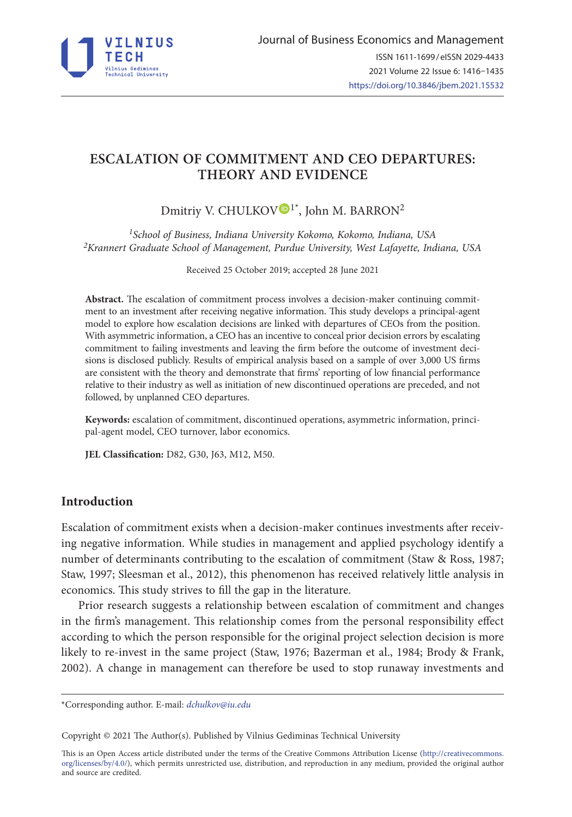

# **ESCALATION OF COMMITMENT AND CEO DEPARTURES: THEORY AND EVIDENCE**

Dmitriy V. CHULKOV<sup>I\*</sup>, John M. BARRON<sup>2</sup>

*1School of Business, Indiana University Kokomo, Kokomo, Indiana, USA 2Krannert Graduate School of Management, Purdue University, West Lafayette, Indiana, USA* 

Received 25 October 2019; accepted 28 June 2021

**Abstract.** The escalation of commitment process involves a decision-maker continuing commitment to an investment after receiving negative information. This study develops a principal-agent model to explore how escalation decisions are linked with departures of CEOs from the position. With asymmetric information, a CEO has an incentive to conceal prior decision errors by escalating commitment to failing investments and leaving the firm before the outcome of investment decisions is disclosed publicly. Results of empirical analysis based on a sample of over 3,000 US firms are consistent with the theory and demonstrate that firms' reporting of low financial performance relative to their industry as well as initiation of new discontinued operations are preceded, and not followed, by unplanned CEO departures.

**Keywords:** escalation of commitment, discontinued operations, asymmetric information, principal-agent model, CEO turnover, labor economics.

**JEL Classification:** D82, G30, J63, M12, M50.

# **Introduction**

Escalation of commitment exists when a decision-maker continues investments after receiving negative information. While studies in management and applied psychology identify a number of determinants contributing to the escalation of commitment (Staw & Ross, 1987; Staw, 1997; Sleesman et al., 2012), this phenomenon has received relatively little analysis in economics. This study strives to fill the gap in the literature.

Prior research suggests a relationship between escalation of commitment and changes in the firm's management. This relationship comes from the personal responsibility effect according to which the person responsible for the original project selection decision is more likely to re-invest in the same project (Staw, 1976; Bazerman et al., 1984; Brody & Frank, 2002). A change in management can therefore be used to stop runaway investments and

Copyright © 2021 The Author(s). Published by Vilnius Gediminas Technical University

This is an Open Access article distributed under the terms of the Creative Commons Attribution License (http://creativecommons. org/licenses/by/4.0/), which permits unrestricted use, distribution, and reproduction in any medium, provided the original author and source are credited.

<sup>\*</sup>Corresponding author. E-mail: *[dchulkov@iu.edu](mailto:dchulkov@iu.edu)*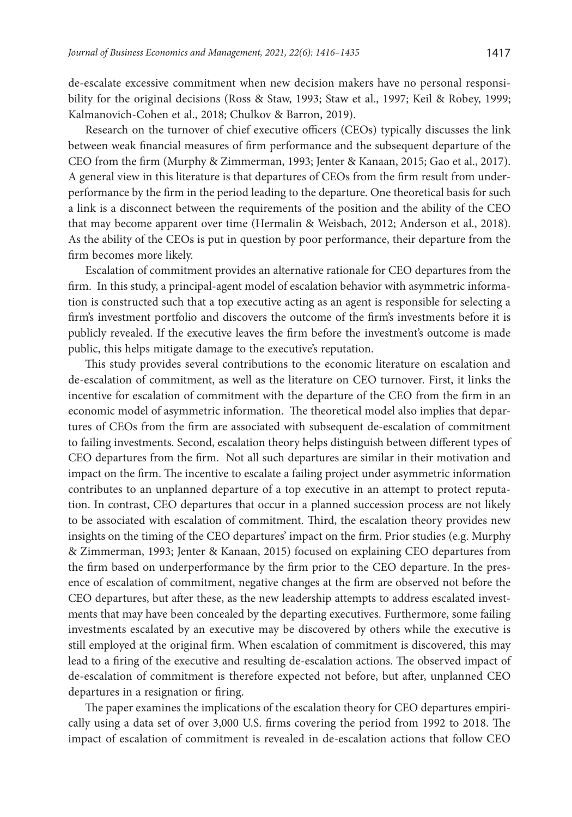de-escalate excessive commitment when new decision makers have no personal responsibility for the original decisions (Ross & Staw, 1993; Staw et al., 1997; Keil & Robey, 1999; Kalmanovich-Cohen et al., 2018; Chulkov & Barron, 2019).

Research on the turnover of chief executive officers (CEOs) typically discusses the link between weak financial measures of firm performance and the subsequent departure of the CEO from the firm (Murphy & Zimmerman, 1993; Jenter & Kanaan, 2015; Gao et al., 2017). A general view in this literature is that departures of CEOs from the firm result from underperformance by the firm in the period leading to the departure. One theoretical basis for such a link is a disconnect between the requirements of the position and the ability of the CEO that may become apparent over time (Hermalin & Weisbach, 2012; Anderson et al., 2018). As the ability of the CEOs is put in question by poor performance, their departure from the firm becomes more likely.

Escalation of commitment provides an alternative rationale for CEO departures from the firm. In this study, a principal-agent model of escalation behavior with asymmetric information is constructed such that a top executive acting as an agent is responsible for selecting a firm's investment portfolio and discovers the outcome of the firm's investments before it is publicly revealed. If the executive leaves the firm before the investment's outcome is made public, this helps mitigate damage to the executive's reputation.

This study provides several contributions to the economic literature on escalation and de-escalation of commitment, as well as the literature on CEO turnover. First, it links the incentive for escalation of commitment with the departure of the CEO from the firm in an economic model of asymmetric information. The theoretical model also implies that departures of CEOs from the firm are associated with subsequent de-escalation of commitment to failing investments. Second, escalation theory helps distinguish between different types of CEO departures from the firm. Not all such departures are similar in their motivation and impact on the firm. The incentive to escalate a failing project under asymmetric information contributes to an unplanned departure of a top executive in an attempt to protect reputation. In contrast, CEO departures that occur in a planned succession process are not likely to be associated with escalation of commitment. Third, the escalation theory provides new insights on the timing of the CEO departures' impact on the firm. Prior studies (e.g. Murphy & Zimmerman, 1993; Jenter & Kanaan, 2015) focused on explaining CEO departures from the firm based on underperformance by the firm prior to the CEO departure. In the presence of escalation of commitment, negative changes at the firm are observed not before the CEO departures, but after these, as the new leadership attempts to address escalated investments that may have been concealed by the departing executives. Furthermore, some failing investments escalated by an executive may be discovered by others while the executive is still employed at the original firm. When escalation of commitment is discovered, this may lead to a firing of the executive and resulting de-escalation actions. The observed impact of de-escalation of commitment is therefore expected not before, but after, unplanned CEO departures in a resignation or firing.

The paper examines the implications of the escalation theory for CEO departures empirically using a data set of over 3,000 U.S. firms covering the period from 1992 to 2018. The impact of escalation of commitment is revealed in de-escalation actions that follow CEO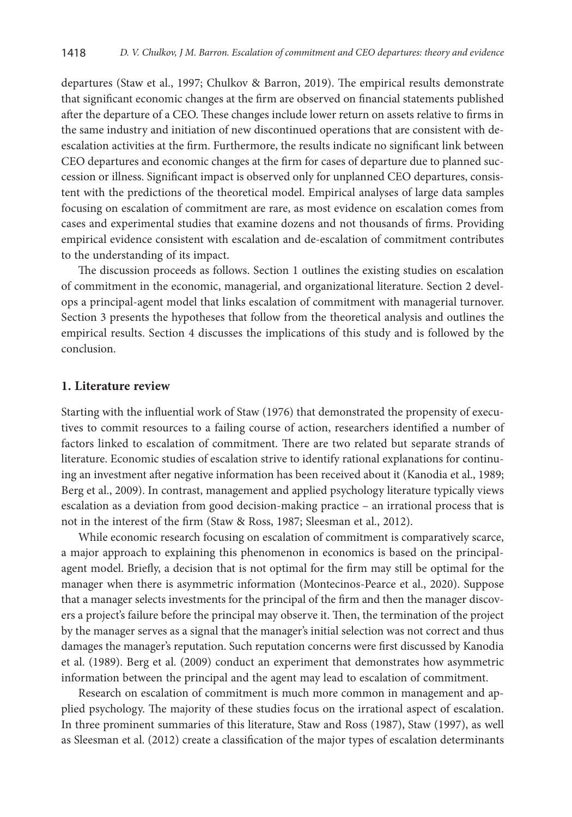departures (Staw et al., 1997; Chulkov & Barron, 2019). The empirical results demonstrate that significant economic changes at the firm are observed on financial statements published after the departure of a CEO. These changes include lower return on assets relative to firms in the same industry and initiation of new discontinued operations that are consistent with deescalation activities at the firm. Furthermore, the results indicate no significant link between CEO departures and economic changes at the firm for cases of departure due to planned succession or illness. Significant impact is observed only for unplanned CEO departures, consistent with the predictions of the theoretical model. Empirical analyses of large data samples focusing on escalation of commitment are rare, as most evidence on escalation comes from cases and experimental studies that examine dozens and not thousands of firms. Providing empirical evidence consistent with escalation and de-escalation of commitment contributes to the understanding of its impact.

The discussion proceeds as follows. Section 1 outlines the existing studies on escalation of commitment in the economic, managerial, and organizational literature. Section 2 develops a principal-agent model that links escalation of commitment with managerial turnover. Section 3 presents the hypotheses that follow from the theoretical analysis and outlines the empirical results. Section 4 discusses the implications of this study and is followed by the conclusion.

### **1. Literature review**

Starting with the influential work of Staw (1976) that demonstrated the propensity of executives to commit resources to a failing course of action, researchers identified a number of factors linked to escalation of commitment. There are two related but separate strands of literature. Economic studies of escalation strive to identify rational explanations for continuing an investment after negative information has been received about it (Kanodia et al., 1989; Berg et al., 2009). In contrast, management and applied psychology literature typically views escalation as a deviation from good decision-making practice – an irrational process that is not in the interest of the firm (Staw & Ross, 1987; Sleesman et al., 2012).

While economic research focusing on escalation of commitment is comparatively scarce, a major approach to explaining this phenomenon in economics is based on the principalagent model. Briefly, a decision that is not optimal for the firm may still be optimal for the manager when there is asymmetric information (Montecinos-Pearce et al., 2020). Suppose that a manager selects investments for the principal of the firm and then the manager discovers a project's failure before the principal may observe it. Then, the termination of the project by the manager serves as a signal that the manager's initial selection was not correct and thus damages the manager's reputation. Such reputation concerns were first discussed by Kanodia et al. (1989). Berg et al. (2009) conduct an experiment that demonstrates how asymmetric information between the principal and the agent may lead to escalation of commitment.

Research on escalation of commitment is much more common in management and applied psychology. The majority of these studies focus on the irrational aspect of escalation. In three prominent summaries of this literature, Staw and Ross (1987), Staw (1997), as well as Sleesman et al. (2012) create a classification of the major types of escalation determinants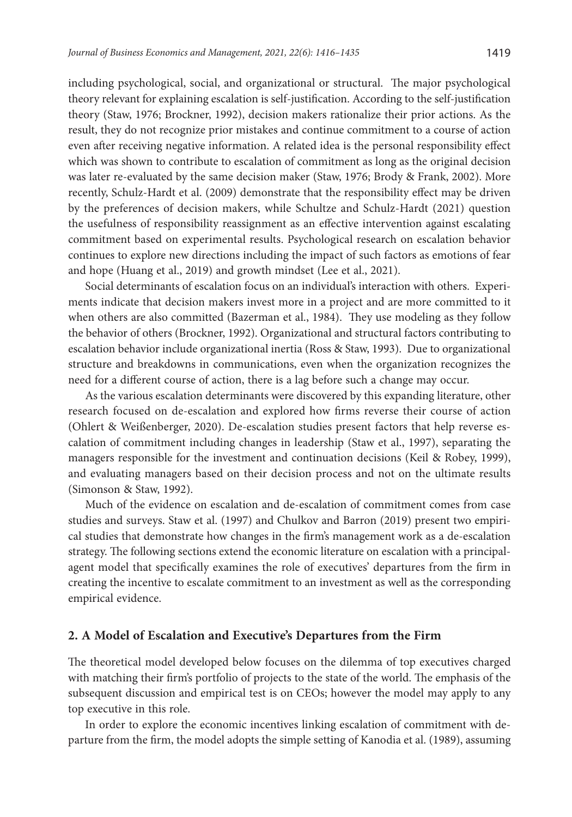including psychological, social, and organizational or structural. The major psychological theory relevant for explaining escalation is self-justification. According to the self-justification theory (Staw, 1976; Brockner, 1992), decision makers rationalize their prior actions. As the result, they do not recognize prior mistakes and continue commitment to a course of action even after receiving negative information. A related idea is the personal responsibility effect which was shown to contribute to escalation of commitment as long as the original decision was later re-evaluated by the same decision maker (Staw, 1976; Brody & Frank, 2002). More recently, Schulz-Hardt et al. (2009) demonstrate that the responsibility effect may be driven by the preferences of decision makers, while Schultze and Schulz-Hardt (2021) question the usefulness of responsibility reassignment as an effective intervention against escalating commitment based on experimental results. Psychological research on escalation behavior continues to explore new directions including the impact of such factors as emotions of fear and hope (Huang et al., 2019) and growth mindset (Lee et al., 2021).

Social determinants of escalation focus on an individual's interaction with others. Experiments indicate that decision makers invest more in a project and are more committed to it when others are also committed (Bazerman et al., 1984). They use modeling as they follow the behavior of others (Brockner, 1992). Organizational and structural factors contributing to escalation behavior include organizational inertia (Ross & Staw, 1993). Due to organizational structure and breakdowns in communications, even when the organization recognizes the need for a different course of action, there is a lag before such a change may occur.

As the various escalation determinants were discovered by this expanding literature, other research focused on de-escalation and explored how firms reverse their course of action (Ohlert & Weißenberger, 2020). De-escalation studies present factors that help reverse escalation of commitment including changes in leadership (Staw et al., 1997), separating the managers responsible for the investment and continuation decisions (Keil & Robey, 1999), and evaluating managers based on their decision process and not on the ultimate results (Simonson & Staw, 1992).

Much of the evidence on escalation and de-escalation of commitment comes from case studies and surveys. Staw et al. (1997) and Chulkov and Barron (2019) present two empirical studies that demonstrate how changes in the firm's management work as a de-escalation strategy. The following sections extend the economic literature on escalation with a principalagent model that specifically examines the role of executives' departures from the firm in creating the incentive to escalate commitment to an investment as well as the corresponding empirical evidence.

### **2. A Model of Escalation and Executive's Departures from the Firm**

The theoretical model developed below focuses on the dilemma of top executives charged with matching their firm's portfolio of projects to the state of the world. The emphasis of the subsequent discussion and empirical test is on CEOs; however the model may apply to any top executive in this role.

In order to explore the economic incentives linking escalation of commitment with departure from the firm, the model adopts the simple setting of Kanodia et al. (1989), assuming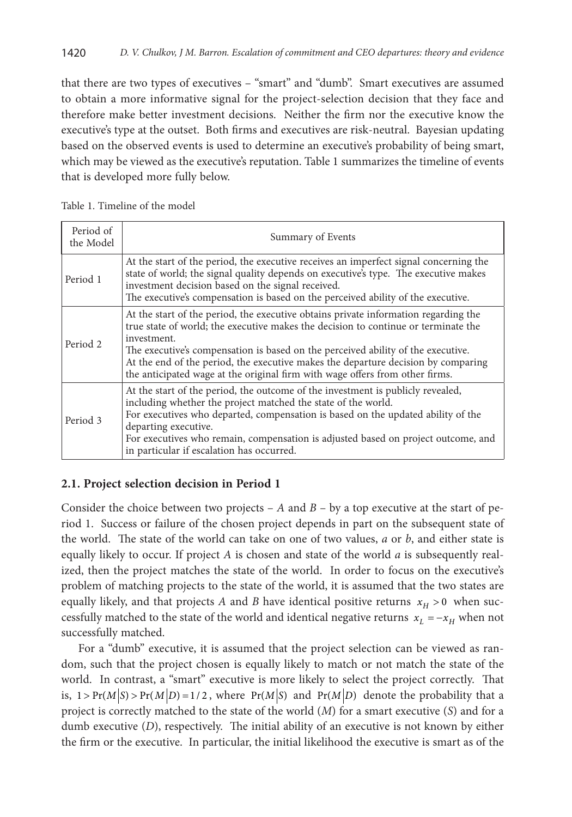that there are two types of executives – "smart" and "dumb". Smart executives are assumed to obtain a more informative signal for the project-selection decision that they face and therefore make better investment decisions. Neither the firm nor the executive know the executive's type at the outset. Both firms and executives are risk-neutral. Bayesian updating based on the observed events is used to determine an executive's probability of being smart, which may be viewed as the executive's reputation. Table 1 summarizes the timeline of events that is developed more fully below.

| Period of<br>the Model | Summary of Events                                                                                                                                                                                                                                                                                                                                                                                                                                 |  |  |  |
|------------------------|---------------------------------------------------------------------------------------------------------------------------------------------------------------------------------------------------------------------------------------------------------------------------------------------------------------------------------------------------------------------------------------------------------------------------------------------------|--|--|--|
| Period 1               | At the start of the period, the executive receives an imperfect signal concerning the<br>state of world; the signal quality depends on executive's type. The executive makes<br>investment decision based on the signal received.<br>The executive's compensation is based on the perceived ability of the executive.                                                                                                                             |  |  |  |
| Period 2               | At the start of the period, the executive obtains private information regarding the<br>true state of world; the executive makes the decision to continue or terminate the<br>investment.<br>The executive's compensation is based on the perceived ability of the executive.<br>At the end of the period, the executive makes the departure decision by comparing<br>the anticipated wage at the original firm with wage offers from other firms. |  |  |  |
| Period 3               | At the start of the period, the outcome of the investment is publicly revealed,<br>including whether the project matched the state of the world.<br>For executives who departed, compensation is based on the updated ability of the<br>departing executive.<br>For executives who remain, compensation is adjusted based on project outcome, and<br>in particular if escalation has occurred.                                                    |  |  |  |

# **2.1. Project selection decision in Period 1**

Consider the choice between two projects – *A* and  $B$  – by a top executive at the start of period 1. Success or failure of the chosen project depends in part on the subsequent state of the world. The state of the world can take on one of two values, *a* or *b*, and either state is equally likely to occur. If project *A* is chosen and state of the world *a* is subsequently realized, then the project matches the state of the world. In order to focus on the executive's problem of matching projects to the state of the world, it is assumed that the two states are equally likely, and that projects *A* and *B* have identical positive returns  $x_H > 0$  when successfully matched to the state of the world and identical negative returns  $x_L = -x_H$  when not successfully matched.

For a "dumb" executive, it is assumed that the project selection can be viewed as random, such that the project chosen is equally likely to match or not match the state of the world. In contrast, a "smart" executive is more likely to select the project correctly. That is,  $1 > Pr(M|S) > Pr(M|D) = 1/2$ , where  $Pr(M|S)$  and  $Pr(M|D)$  denote the probability that a project is correctly matched to the state of the world (*M*) for a smart executive (*S*) and for a dumb executive (*D*), respectively. The initial ability of an executive is not known by either the firm or the executive. In particular, the initial likelihood the executive is smart as of the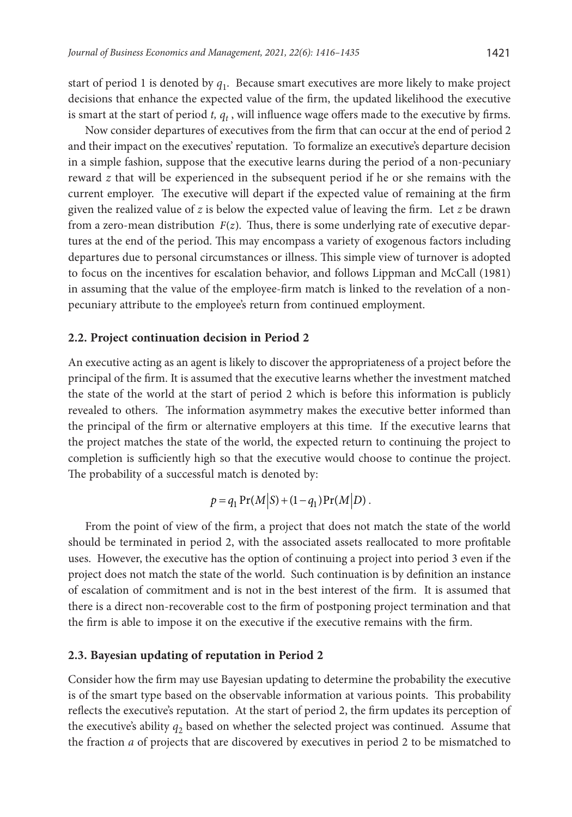start of period 1 is denoted by *q*1. Because smart executives are more likely to make project decisions that enhance the expected value of the firm, the updated likelihood the executive is smart at the start of period  $t$ ,  $q_t$ , will influence wage offers made to the executive by firms.

Now consider departures of executives from the firm that can occur at the end of period 2 and their impact on the executives' reputation. To formalize an executive's departure decision in a simple fashion, suppose that the executive learns during the period of a non-pecuniary reward *z* that will be experienced in the subsequent period if he or she remains with the current employer. The executive will depart if the expected value of remaining at the firm given the realized value of  $z$  is below the expected value of leaving the firm. Let  $z$  be drawn from a zero-mean distribution  $F(z)$ . Thus, there is some underlying rate of executive departures at the end of the period. This may encompass a variety of exogenous factors including departures due to personal circumstances or illness. This simple view of turnover is adopted to focus on the incentives for escalation behavior, and follows Lippman and McCall (1981) in assuming that the value of the employee-firm match is linked to the revelation of a nonpecuniary attribute to the employee's return from continued employment.

### **2.2. Project continuation decision in Period 2**

An executive acting as an agent is likely to discover the appropriateness of a project before the principal of the firm. It is assumed that the executive learns whether the investment matched the state of the world at the start of period 2 which is before this information is publicly revealed to others. The information asymmetry makes the executive better informed than the principal of the firm or alternative employers at this time. If the executive learns that the project matches the state of the world, the expected return to continuing the project to completion is sufficiently high so that the executive would choose to continue the project. The probability of a successful match is denoted by:

$$
p = q_1 \Pr(M|S) + (1 - q_1) \Pr(M|D).
$$

From the point of view of the firm, a project that does not match the state of the world should be terminated in period 2, with the associated assets reallocated to more profitable uses. However, the executive has the option of continuing a project into period 3 even if the project does not match the state of the world. Such continuation is by definition an instance of escalation of commitment and is not in the best interest of the firm. It is assumed that there is a direct non-recoverable cost to the firm of postponing project termination and that the firm is able to impose it on the executive if the executive remains with the firm.

#### **2.3. Bayesian updating of reputation in Period 2**

Consider how the firm may use Bayesian updating to determine the probability the executive is of the smart type based on the observable information at various points. This probability reflects the executive's reputation. At the start of period 2, the firm updates its perception of the executive's ability  $q_2$  based on whether the selected project was continued. Assume that the fraction *a* of projects that are discovered by executives in period 2 to be mismatched to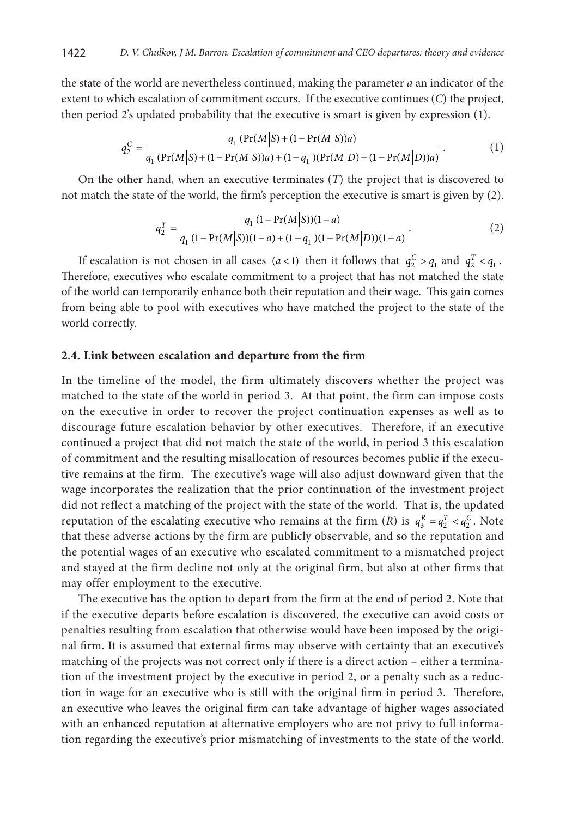the state of the world are nevertheless continued, making the parameter *a* an indicator of the extent to which escalation of commitment occurs. If the executive continues (*C*) the project, then period 2's updated probability that the executive is smart is given by expression (1).

$$
q_2^C = \frac{q_1 \left( \Pr(M|S) + (1 - \Pr(M|S))a \right)}{q_1 \left( \Pr(M|S) + (1 - \Pr(M|S))a \right) + (1 - q_1) \left( \Pr(M|D) + (1 - \Pr(M|D))a \right)}.
$$
(1)

On the other hand, when an executive terminates (*T*) the project that is discovered to not match the state of the world, the firm's perception the executive is smart is given by (2).

$$
q_2^T = \frac{q_1 (1 - \Pr(M|S))(1 - a)}{q_1 (1 - \Pr(M|S))(1 - a) + (1 - q_1)(1 - \Pr(M|D))(1 - a)}.
$$
\n(2)

If escalation is not chosen in all cases  $(a < 1)$  then it follows that  $q_2^C > q_1$  and  $q_2^T < q_1$ . Therefore, executives who escalate commitment to a project that has not matched the state of the world can temporarily enhance both their reputation and their wage. This gain comes from being able to pool with executives who have matched the project to the state of the world correctly.

#### **2.4. Link between escalation and departure from the firm**

In the timeline of the model, the firm ultimately discovers whether the project was matched to the state of the world in period 3. At that point, the firm can impose costs on the executive in order to recover the project continuation expenses as well as to discourage future escalation behavior by other executives. Therefore, if an executive continued a project that did not match the state of the world, in period 3 this escalation of commitment and the resulting misallocation of resources becomes public if the executive remains at the firm. The executive's wage will also adjust downward given that the wage incorporates the realization that the prior continuation of the investment project did not reflect a matching of the project with the state of the world. That is, the updated reputation of the escalating executive who remains at the firm  $(R)$  is  $q_3^R = q_2^T < q_2^C$ . Note that these adverse actions by the firm are publicly observable, and so the reputation and the potential wages of an executive who escalated commitment to a mismatched project and stayed at the firm decline not only at the original firm, but also at other firms that may offer employment to the executive.

The executive has the option to depart from the firm at the end of period 2. Note that if the executive departs before escalation is discovered, the executive can avoid costs or penalties resulting from escalation that otherwise would have been imposed by the original firm. It is assumed that external firms may observe with certainty that an executive's matching of the projects was not correct only if there is a direct action – either a termination of the investment project by the executive in period 2, or a penalty such as a reduction in wage for an executive who is still with the original firm in period 3. Therefore, an executive who leaves the original firm can take advantage of higher wages associated with an enhanced reputation at alternative employers who are not privy to full information regarding the executive's prior mismatching of investments to the state of the world.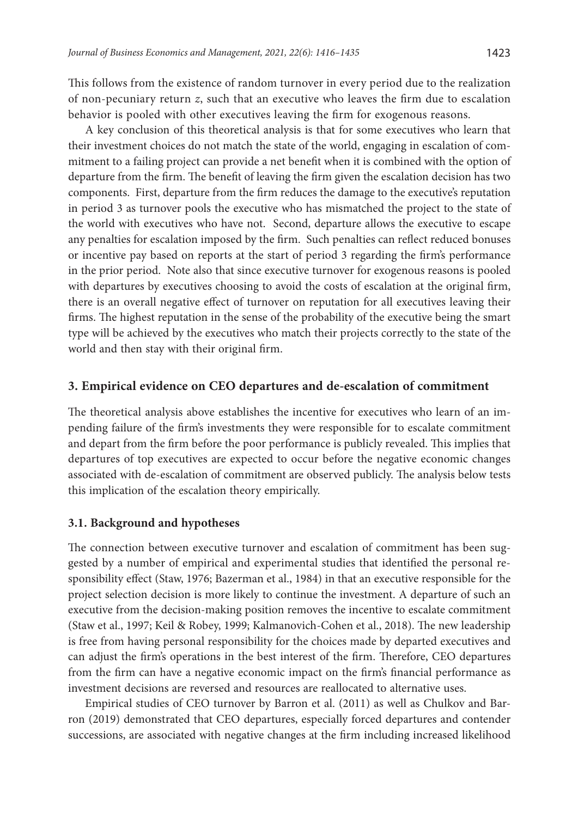This follows from the existence of random turnover in every period due to the realization of non-pecuniary return *z*, such that an executive who leaves the firm due to escalation behavior is pooled with other executives leaving the firm for exogenous reasons.

A key conclusion of this theoretical analysis is that for some executives who learn that their investment choices do not match the state of the world, engaging in escalation of commitment to a failing project can provide a net benefit when it is combined with the option of departure from the firm. The benefit of leaving the firm given the escalation decision has two components. First, departure from the firm reduces the damage to the executive's reputation in period 3 as turnover pools the executive who has mismatched the project to the state of the world with executives who have not. Second, departure allows the executive to escape any penalties for escalation imposed by the firm. Such penalties can reflect reduced bonuses or incentive pay based on reports at the start of period 3 regarding the firm's performance in the prior period. Note also that since executive turnover for exogenous reasons is pooled with departures by executives choosing to avoid the costs of escalation at the original firm, there is an overall negative effect of turnover on reputation for all executives leaving their firms. The highest reputation in the sense of the probability of the executive being the smart type will be achieved by the executives who match their projects correctly to the state of the world and then stay with their original firm.

# **3. Empirical evidence on CEO departures and de-escalation of commitment**

The theoretical analysis above establishes the incentive for executives who learn of an impending failure of the firm's investments they were responsible for to escalate commitment and depart from the firm before the poor performance is publicly revealed. This implies that departures of top executives are expected to occur before the negative economic changes associated with de-escalation of commitment are observed publicly. The analysis below tests this implication of the escalation theory empirically.

### **3.1. Background and hypotheses**

The connection between executive turnover and escalation of commitment has been suggested by a number of empirical and experimental studies that identified the personal responsibility effect (Staw, 1976; Bazerman et al., 1984) in that an executive responsible for the project selection decision is more likely to continue the investment. A departure of such an executive from the decision-making position removes the incentive to escalate commitment (Staw et al., 1997; Keil & Robey, 1999; Kalmanovich-Cohen et al., 2018). The new leadership is free from having personal responsibility for the choices made by departed executives and can adjust the firm's operations in the best interest of the firm. Therefore, CEO departures from the firm can have a negative economic impact on the firm's financial performance as investment decisions are reversed and resources are reallocated to alternative uses.

Empirical studies of CEO turnover by Barron et al. (2011) as well as Chulkov and Barron (2019) demonstrated that CEO departures, especially forced departures and contender successions, are associated with negative changes at the firm including increased likelihood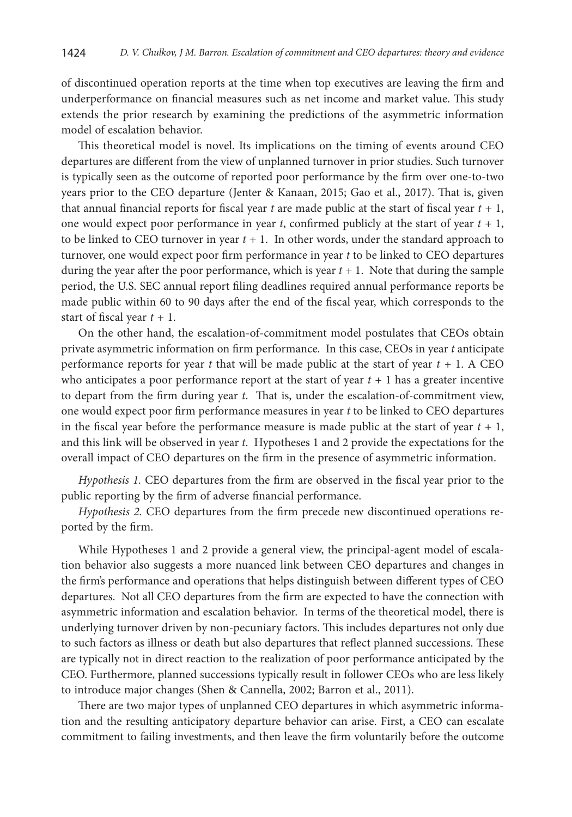of discontinued operation reports at the time when top executives are leaving the firm and underperformance on financial measures such as net income and market value. This study extends the prior research by examining the predictions of the asymmetric information model of escalation behavior.

This theoretical model is novel. Its implications on the timing of events around CEO departures are different from the view of unplanned turnover in prior studies. Such turnover is typically seen as the outcome of reported poor performance by the firm over one-to-two years prior to the CEO departure (Jenter & Kanaan, 2015; Gao et al., 2017). That is, given that annual financial reports for fiscal year *t* are made public at the start of fiscal year *t +* 1, one would expect poor performance in year *t*, confirmed publicly at the start of year *t +* 1, to be linked to CEO turnover in year  $t + 1$ . In other words, under the standard approach to turnover, one would expect poor firm performance in year *t* to be linked to CEO departures during the year after the poor performance, which is year  $t + 1$ . Note that during the sample period, the U.S. SEC annual report filing deadlines required annual performance reports be made public within 60 to 90 days after the end of the fiscal year, which corresponds to the start of fiscal year *t +* 1.

On the other hand, the escalation-of-commitment model postulates that CEOs obtain private asymmetric information on firm performance. In this case, CEOs in year *t* anticipate performance reports for year  $t$  that will be made public at the start of year  $t + 1$ . A CEO who anticipates a poor performance report at the start of year  $t + 1$  has a greater incentive to depart from the firm during year *t*. That is, under the escalation-of-commitment view, one would expect poor firm performance measures in year *t* to be linked to CEO departures in the fiscal year before the performance measure is made public at the start of year *t +* 1, and this link will be observed in year *t*. Hypotheses 1 and 2 provide the expectations for the overall impact of CEO departures on the firm in the presence of asymmetric information.

*Hypothesis 1.* CEO departures from the firm are observed in the fiscal year prior to the public reporting by the firm of adverse financial performance.

*Hypothesis 2.* CEO departures from the firm precede new discontinued operations reported by the firm.

While Hypotheses 1 and 2 provide a general view, the principal-agent model of escalation behavior also suggests a more nuanced link between CEO departures and changes in the firm's performance and operations that helps distinguish between different types of CEO departures. Not all CEO departures from the firm are expected to have the connection with asymmetric information and escalation behavior. In terms of the theoretical model, there is underlying turnover driven by non-pecuniary factors. This includes departures not only due to such factors as illness or death but also departures that reflect planned successions. These are typically not in direct reaction to the realization of poor performance anticipated by the CEO. Furthermore, planned successions typically result in follower CEOs who are less likely to introduce major changes (Shen & Cannella, 2002; Barron et al., 2011).

There are two major types of unplanned CEO departures in which asymmetric information and the resulting anticipatory departure behavior can arise. First, a CEO can escalate commitment to failing investments, and then leave the firm voluntarily before the outcome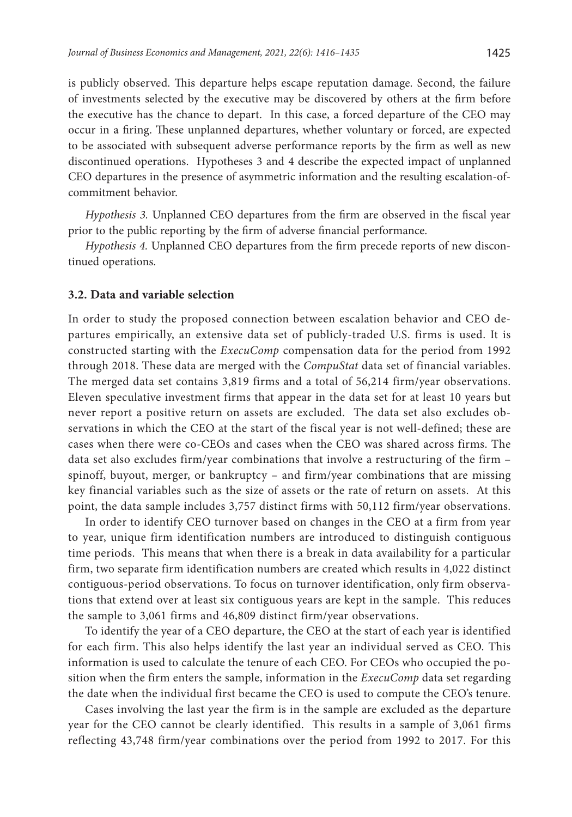is publicly observed. This departure helps escape reputation damage. Second, the failure of investments selected by the executive may be discovered by others at the firm before the executive has the chance to depart. In this case, a forced departure of the CEO may occur in a firing. These unplanned departures, whether voluntary or forced, are expected to be associated with subsequent adverse performance reports by the firm as well as new discontinued operations. Hypotheses 3 and 4 describe the expected impact of unplanned CEO departures in the presence of asymmetric information and the resulting escalation-ofcommitment behavior.

*Hypothesis 3.* Unplanned CEO departures from the firm are observed in the fiscal year prior to the public reporting by the firm of adverse financial performance.

*Hypothesis 4.* Unplanned CEO departures from the firm precede reports of new discontinued operations.

### **3.2. Data and variable selection**

In order to study the proposed connection between escalation behavior and CEO departures empirically, an extensive data set of publicly-traded U.S. firms is used. It is constructed starting with the *ExecuComp* compensation data for the period from 1992 through 2018. These data are merged with the *CompuStat* data set of financial variables. The merged data set contains 3,819 firms and a total of 56,214 firm/year observations. Eleven speculative investment firms that appear in the data set for at least 10 years but never report a positive return on assets are excluded. The data set also excludes observations in which the CEO at the start of the fiscal year is not well-defined; these are cases when there were co-CEOs and cases when the CEO was shared across firms. The data set also excludes firm/year combinations that involve a restructuring of the firm – spinoff, buyout, merger, or bankruptcy – and firm/year combinations that are missing key financial variables such as the size of assets or the rate of return on assets. At this point, the data sample includes 3,757 distinct firms with 50,112 firm/year observations.

In order to identify CEO turnover based on changes in the CEO at a firm from year to year, unique firm identification numbers are introduced to distinguish contiguous time periods. This means that when there is a break in data availability for a particular firm, two separate firm identification numbers are created which results in 4,022 distinct contiguous-period observations. To focus on turnover identification, only firm observations that extend over at least six contiguous years are kept in the sample. This reduces the sample to 3,061 firms and 46,809 distinct firm/year observations.

To identify the year of a CEO departure, the CEO at the start of each year is identified for each firm. This also helps identify the last year an individual served as CEO. This information is used to calculate the tenure of each CEO. For CEOs who occupied the position when the firm enters the sample, information in the *ExecuComp* data set regarding the date when the individual first became the CEO is used to compute the CEO's tenure.

Cases involving the last year the firm is in the sample are excluded as the departure year for the CEO cannot be clearly identified. This results in a sample of 3,061 firms reflecting 43,748 firm/year combinations over the period from 1992 to 2017. For this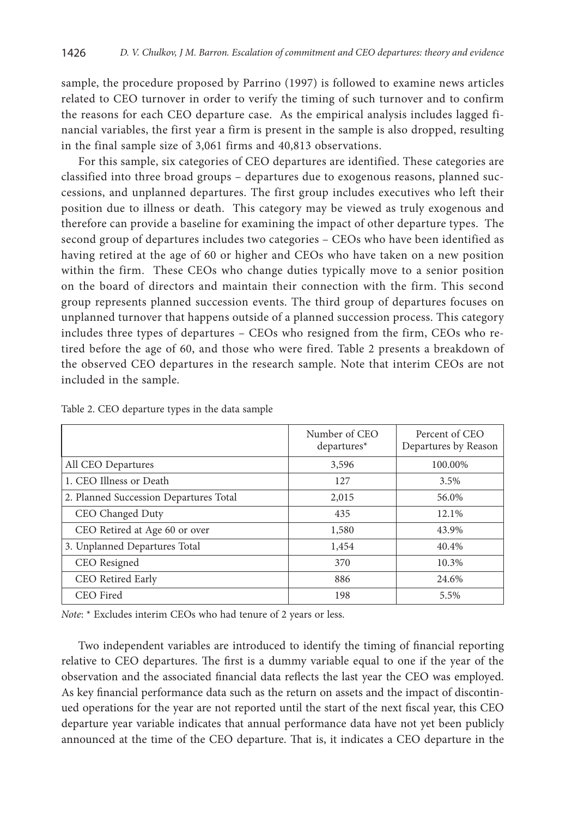sample, the procedure proposed by Parrino (1997) is followed to examine news articles related to CEO turnover in order to verify the timing of such turnover and to confirm the reasons for each CEO departure case. As the empirical analysis includes lagged financial variables, the first year a firm is present in the sample is also dropped, resulting in the final sample size of 3,061 firms and 40,813 observations.

For this sample, six categories of CEO departures are identified. These categories are classified into three broad groups – departures due to exogenous reasons, planned successions, and unplanned departures. The first group includes executives who left their position due to illness or death. This category may be viewed as truly exogenous and therefore can provide a baseline for examining the impact of other departure types. The second group of departures includes two categories – CEOs who have been identified as having retired at the age of 60 or higher and CEOs who have taken on a new position within the firm. These CEOs who change duties typically move to a senior position on the board of directors and maintain their connection with the firm. This second group represents planned succession events. The third group of departures focuses on unplanned turnover that happens outside of a planned succession process. This category includes three types of departures – CEOs who resigned from the firm, CEOs who retired before the age of 60, and those who were fired. Table 2 presents a breakdown of the observed CEO departures in the research sample. Note that interim CEOs are not included in the sample.

|                                        | Number of CEO<br>$departures*$ | Percent of CEO<br>Departures by Reason |
|----------------------------------------|--------------------------------|----------------------------------------|
| All CEO Departures                     | 3,596                          | 100.00%                                |
| 1. CEO Illness or Death                | 127                            | 3.5%                                   |
| 2. Planned Succession Departures Total | 2,015                          | 56.0%                                  |
| CEO Changed Duty                       | 435                            | 12.1%                                  |
| CEO Retired at Age 60 or over          | 1,580                          | 43.9%                                  |
| 3. Unplanned Departures Total          | 1,454                          | 40.4%                                  |
| CEO Resigned                           | 370                            | 10.3%                                  |
| CEO Retired Early                      | 886                            | 24.6%                                  |
| CEO Fired                              | 198                            | 5.5%                                   |

Table 2. CEO departure types in the data sample

*Note*: \* Excludes interim CEOs who had tenure of 2 years or less.

Two independent variables are introduced to identify the timing of financial reporting relative to CEO departures. The first is a dummy variable equal to one if the year of the observation and the associated financial data reflects the last year the CEO was employed. As key financial performance data such as the return on assets and the impact of discontinued operations for the year are not reported until the start of the next fiscal year, this CEO departure year variable indicates that annual performance data have not yet been publicly announced at the time of the CEO departure. That is, it indicates a CEO departure in the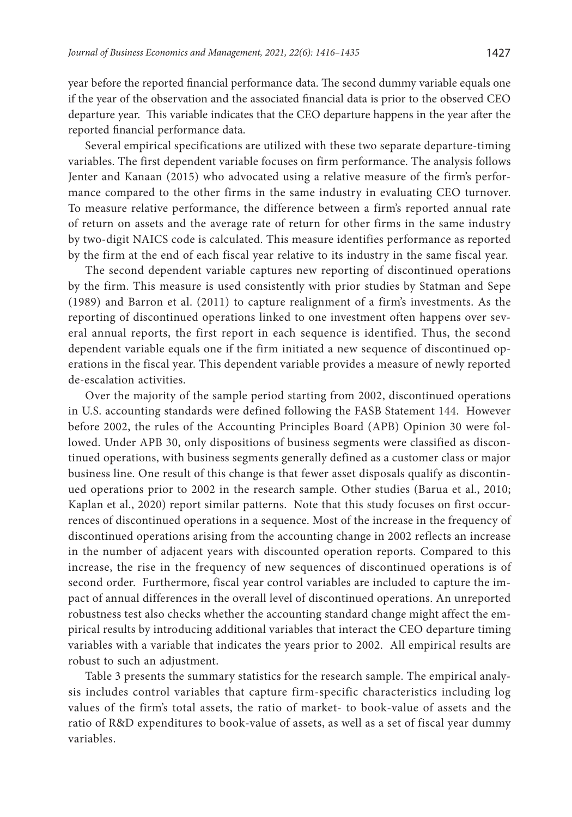year before the reported financial performance data. The second dummy variable equals one if the year of the observation and the associated financial data is prior to the observed CEO departure year. This variable indicates that the CEO departure happens in the year after the reported financial performance data.

Several empirical specifications are utilized with these two separate departure-timing variables. The first dependent variable focuses on firm performance. The analysis follows Jenter and Kanaan (2015) who advocated using a relative measure of the firm's performance compared to the other firms in the same industry in evaluating CEO turnover. To measure relative performance, the difference between a firm's reported annual rate of return on assets and the average rate of return for other firms in the same industry by two-digit NAICS code is calculated. This measure identifies performance as reported by the firm at the end of each fiscal year relative to its industry in the same fiscal year.

The second dependent variable captures new reporting of discontinued operations by the firm. This measure is used consistently with prior studies by Statman and Sepe (1989) and Barron et al. (2011) to capture realignment of a firm's investments. As the reporting of discontinued operations linked to one investment often happens over several annual reports, the first report in each sequence is identified. Thus, the second dependent variable equals one if the firm initiated a new sequence of discontinued operations in the fiscal year. This dependent variable provides a measure of newly reported de-escalation activities.

Over the majority of the sample period starting from 2002, discontinued operations in U.S. accounting standards were defined following the FASB Statement 144. However before 2002, the rules of the Accounting Principles Board (APB) Opinion 30 were followed. Under APB 30, only dispositions of business segments were classified as discontinued operations, with business segments generally defined as a customer class or major business line. One result of this change is that fewer asset disposals qualify as discontinued operations prior to 2002 in the research sample. Other studies (Barua et al., 2010; Kaplan et al., 2020) report similar patterns. Note that this study focuses on first occurrences of discontinued operations in a sequence. Most of the increase in the frequency of discontinued operations arising from the accounting change in 2002 reflects an increase in the number of adjacent years with discounted operation reports. Compared to this increase, the rise in the frequency of new sequences of discontinued operations is of second order. Furthermore, fiscal year control variables are included to capture the impact of annual differences in the overall level of discontinued operations. An unreported robustness test also checks whether the accounting standard change might affect the empirical results by introducing additional variables that interact the CEO departure timing variables with a variable that indicates the years prior to 2002. All empirical results are robust to such an adjustment.

Table 3 presents the summary statistics for the research sample. The empirical analysis includes control variables that capture firm-specific characteristics including log values of the firm's total assets, the ratio of market- to book-value of assets and the ratio of R&D expenditures to book-value of assets, as well as a set of fiscal year dummy variables.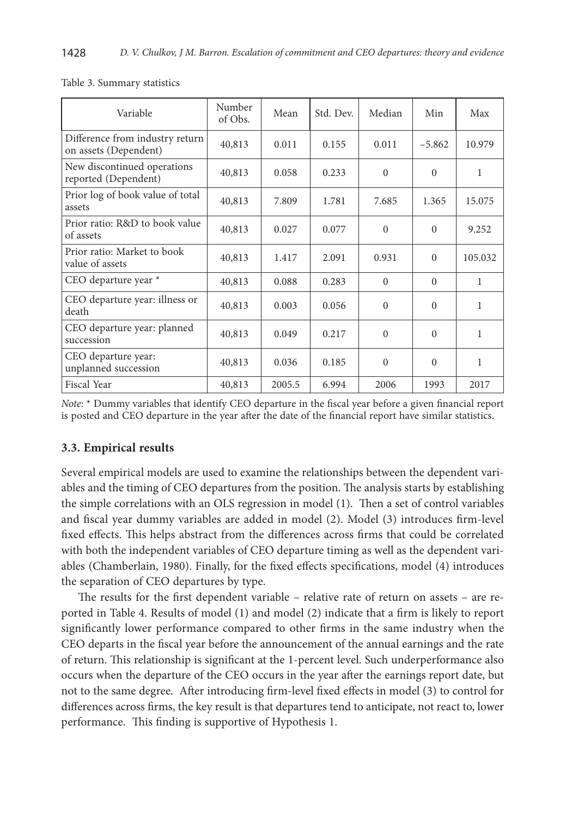| Variable                                                 | Number<br>of Obs. | Mean   | Std. Dev. | Median   | Min      | Max          |
|----------------------------------------------------------|-------------------|--------|-----------|----------|----------|--------------|
| Difference from industry return<br>on assets (Dependent) | 40,813            | 0.011  | 0.155     | 0.011    | $-5.862$ | 10.979       |
| New discontinued operations<br>reported (Dependent)      | 40,813            | 0.058  | 0.233     | $\Omega$ | $\Omega$ | 1            |
| Prior log of book value of total<br>assets               | 40,813            | 7.809  | 1.781     | 7.685    | 1.365    | 15.075       |
| Prior ratio: R&D to book value<br>of assets              | 40,813            | 0.027  | 0.077     | $\Omega$ | $\theta$ | 9.252        |
| Prior ratio: Market to book<br>value of assets           | 40,813            | 1.417  | 2.091     | 0.931    | $\Omega$ | 105.032      |
| CEO departure year *                                     | 40,813            | 0.088  | 0.283     | $\Omega$ | $\Omega$ | $\mathbf{1}$ |
| CEO departure year: illness or<br>death                  | 40,813            | 0.003  | 0.056     | $\Omega$ | $\Omega$ | 1            |
| CEO departure year: planned<br>succession                | 40,813            | 0.049  | 0.217     | $\Omega$ | $\Omega$ | 1            |
| CEO departure year:<br>unplanned succession              | 40,813            | 0.036  | 0.185     | $\Omega$ | $\Omega$ | 1            |
| Fiscal Year                                              | 40,813            | 2005.5 | 6.994     | 2006     | 1993     | 2017         |

Table 3. Summary statistics

*Note*: \* Dummy variables that identify CEO departure in the fiscal year before a given financial report is posted and CEO departure in the year after the date of the financial report have similar statistics.

### **3.3. Empirical results**

Several empirical models are used to examine the relationships between the dependent variables and the timing of CEO departures from the position. The analysis starts by establishing the simple correlations with an OLS regression in model (1). Then a set of control variables and fiscal year dummy variables are added in model (2). Model (3) introduces firm-level fixed effects. This helps abstract from the differences across firms that could be correlated with both the independent variables of CEO departure timing as well as the dependent variables (Chamberlain, 1980). Finally, for the fixed effects specifications, model (4) introduces the separation of CEO departures by type.

The results for the first dependent variable – relative rate of return on assets – are reported in Table 4. Results of model (1) and model (2) indicate that a firm is likely to report significantly lower performance compared to other firms in the same industry when the CEO departs in the fiscal year before the announcement of the annual earnings and the rate of return. This relationship is significant at the 1-percent level. Such underperformance also occurs when the departure of the CEO occurs in the year after the earnings report date, but not to the same degree. After introducing firm-level fixed effects in model (3) to control for differences across firms, the key result is that departures tend to anticipate, not react to, lower performance. This finding is supportive of Hypothesis 1.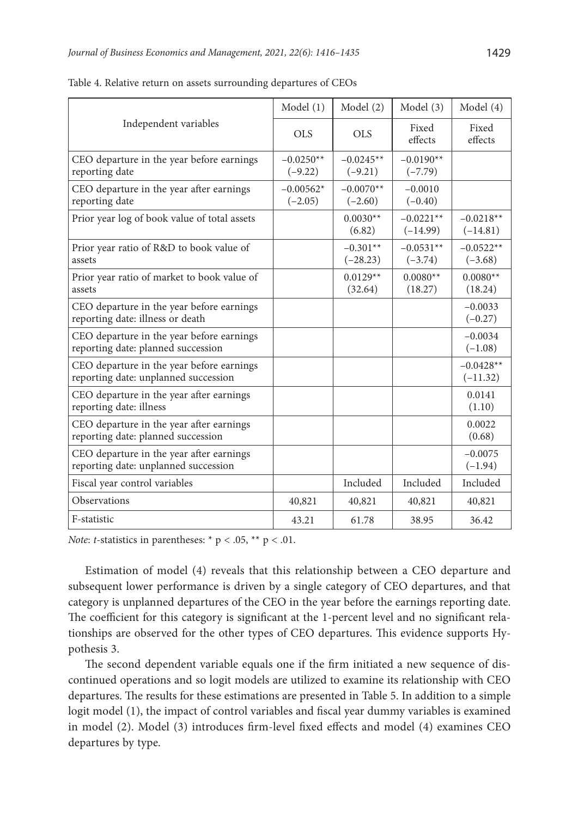|                                                                                   | Model(1)                 | Model(2)                 | Model (3)                 | Model (4)                 |
|-----------------------------------------------------------------------------------|--------------------------|--------------------------|---------------------------|---------------------------|
| Independent variables                                                             | <b>OLS</b>               | <b>OLS</b>               | Fixed<br>effects          | Fixed<br>effects          |
| CEO departure in the year before earnings<br>reporting date                       | $-0.0250**$<br>$(-9.22)$ | $-0.0245**$<br>$(-9.21)$ | $-0.0190**$<br>$(-7.79)$  |                           |
| CEO departure in the year after earnings<br>reporting date                        | $-0.00562*$<br>$(-2.05)$ | $-0.0070**$<br>$(-2.60)$ | $-0.0010$<br>$(-0.40)$    |                           |
| Prior year log of book value of total assets                                      |                          | $0.0030**$<br>(6.82)     | $-0.0221**$<br>$(-14.99)$ | $-0.0218**$<br>$(-14.81)$ |
| Prior year ratio of R&D to book value of<br>assets                                |                          | $-0.301**$<br>$(-28.23)$ | $-0.0531**$<br>$(-3.74)$  | $-0.0522**$<br>$(-3.68)$  |
| Prior year ratio of market to book value of<br>assets                             |                          | $0.0129**$<br>(32.64)    | $0.0080**$<br>(18.27)     | $0.0080**$<br>(18.24)     |
| CEO departure in the year before earnings<br>reporting date: illness or death     |                          |                          |                           | $-0.0033$<br>$(-0.27)$    |
| CEO departure in the year before earnings<br>reporting date: planned succession   |                          |                          |                           | $-0.0034$<br>$(-1.08)$    |
| CEO departure in the year before earnings<br>reporting date: unplanned succession |                          |                          |                           | $-0.0428**$<br>$(-11.32)$ |
| CEO departure in the year after earnings<br>reporting date: illness               |                          |                          |                           | 0.0141<br>(1.10)          |
| CEO departure in the year after earnings<br>reporting date: planned succession    |                          |                          |                           | 0.0022<br>(0.68)          |
| CEO departure in the year after earnings<br>reporting date: unplanned succession  |                          |                          |                           | $-0.0075$<br>$(-1.94)$    |
| Fiscal year control variables                                                     |                          | Included                 | Included                  | Included                  |
| Observations                                                                      | 40,821                   | 40,821                   | 40,821                    | 40,821                    |
| F-statistic                                                                       | 43.21                    | 61.78                    | 38.95                     | 36.42                     |

Table 4. Relative return on assets surrounding departures of CEOs

*Note: t*-statistics in parentheses: \*  $p < .05$ , \*\*  $p < .01$ .

Estimation of model (4) reveals that this relationship between a CEO departure and subsequent lower performance is driven by a single category of CEO departures, and that category is unplanned departures of the CEO in the year before the earnings reporting date. The coefficient for this category is significant at the 1-percent level and no significant relationships are observed for the other types of CEO departures. This evidence supports Hypothesis 3.

The second dependent variable equals one if the firm initiated a new sequence of discontinued operations and so logit models are utilized to examine its relationship with CEO departures. The results for these estimations are presented in Table 5. In addition to a simple logit model (1), the impact of control variables and fiscal year dummy variables is examined in model (2). Model (3) introduces firm-level fixed effects and model (4) examines CEO departures by type.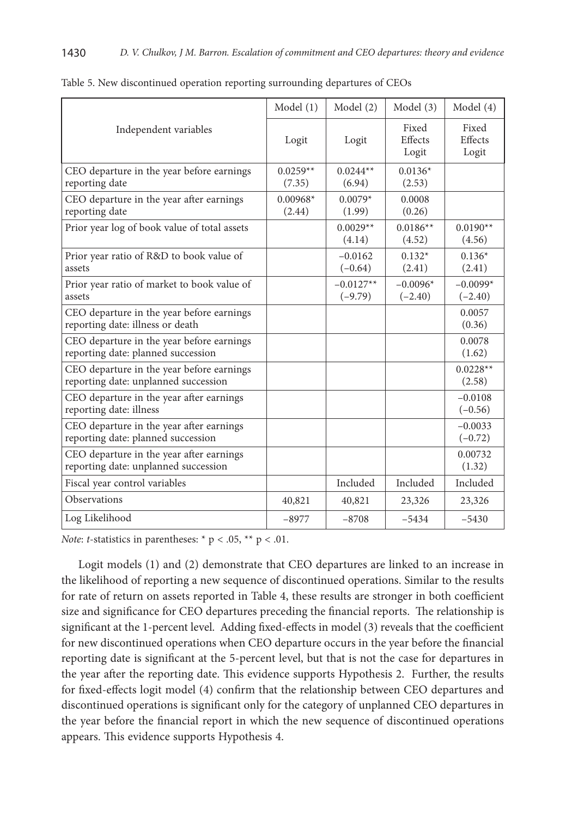|                                                                                   | Model(1)             | Model (2)                | Model (3)                 | Model (4)                 |
|-----------------------------------------------------------------------------------|----------------------|--------------------------|---------------------------|---------------------------|
| Independent variables                                                             | Logit                | Logit                    | Fixed<br>Effects<br>Logit | Fixed<br>Effects<br>Logit |
| CEO departure in the year before earnings<br>reporting date                       | $0.0259**$<br>(7.35) | $0.0244**$<br>(6.94)     | $0.0136*$<br>(2.53)       |                           |
| CEO departure in the year after earnings<br>reporting date                        | $0.00968*$<br>(2.44) | $0.0079*$<br>(1.99)      | 0.0008<br>(0.26)          |                           |
| Prior year log of book value of total assets                                      |                      | $0.0029**$<br>(4.14)     | $0.0186**$<br>(4.52)      | $0.0190**$<br>(4.56)      |
| Prior year ratio of R&D to book value of<br>assets                                |                      | $-0.0162$<br>$(-0.64)$   | $0.132*$<br>(2.41)        | $0.136*$<br>(2.41)        |
| Prior year ratio of market to book value of<br>assets                             |                      | $-0.0127**$<br>$(-9.79)$ | $-0.0096*$<br>$(-2.40)$   | $-0.0099*$<br>$(-2.40)$   |
| CEO departure in the year before earnings<br>reporting date: illness or death     |                      |                          |                           | 0.0057<br>(0.36)          |
| CEO departure in the year before earnings<br>reporting date: planned succession   |                      |                          |                           | 0.0078<br>(1.62)          |
| CEO departure in the year before earnings<br>reporting date: unplanned succession |                      |                          |                           | $0.0228**$<br>(2.58)      |
| CEO departure in the year after earnings<br>reporting date: illness               |                      |                          |                           | $-0.0108$<br>$(-0.56)$    |
| CEO departure in the year after earnings<br>reporting date: planned succession    |                      |                          |                           | $-0.0033$<br>$(-0.72)$    |
| CEO departure in the year after earnings<br>reporting date: unplanned succession  |                      |                          |                           | 0.00732<br>(1.32)         |
| Fiscal year control variables                                                     |                      | Included                 | Included                  | Included                  |
| <b>Observations</b>                                                               | 40,821               | 40,821                   | 23,326                    | 23,326                    |
| Log Likelihood                                                                    | $-8977$              | $-8708$                  | $-5434$                   | $-5430$                   |

| Table 5. New discontinued operation reporting surrounding departures of CEOs |  |  |  |  |  |
|------------------------------------------------------------------------------|--|--|--|--|--|
|------------------------------------------------------------------------------|--|--|--|--|--|

*Note*: *t*-statistics in parentheses:  $* p < .05$ ,  $** p < .01$ .

Logit models (1) and (2) demonstrate that CEO departures are linked to an increase in the likelihood of reporting a new sequence of discontinued operations. Similar to the results for rate of return on assets reported in Table 4, these results are stronger in both coefficient size and significance for CEO departures preceding the financial reports. The relationship is significant at the 1-percent level. Adding fixed-effects in model (3) reveals that the coefficient for new discontinued operations when CEO departure occurs in the year before the financial reporting date is significant at the 5-percent level, but that is not the case for departures in the year after the reporting date. This evidence supports Hypothesis 2. Further, the results for fixed-effects logit model (4) confirm that the relationship between CEO departures and discontinued operations is significant only for the category of unplanned CEO departures in the year before the financial report in which the new sequence of discontinued operations appears. This evidence supports Hypothesis 4.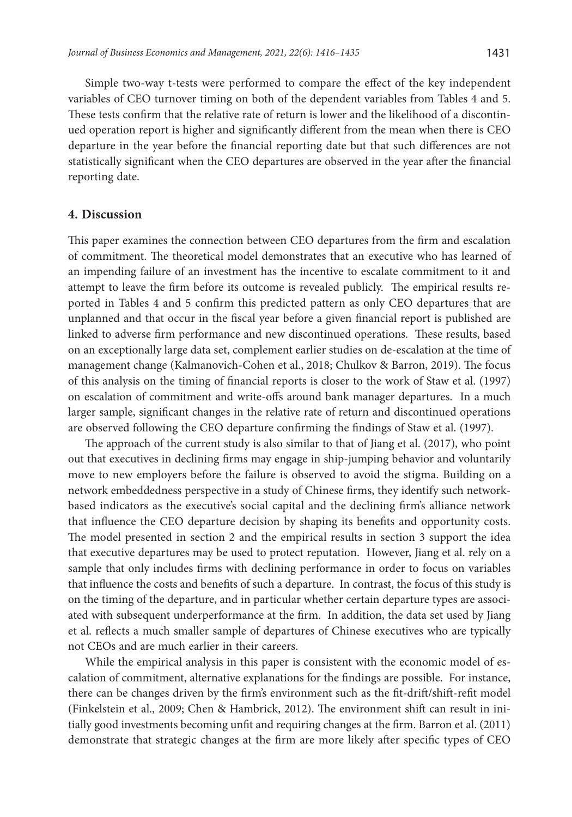Simple two-way t-tests were performed to compare the effect of the key independent variables of CEO turnover timing on both of the dependent variables from Tables 4 and 5. These tests confirm that the relative rate of return is lower and the likelihood of a discontinued operation report is higher and significantly different from the mean when there is CEO departure in the year before the financial reporting date but that such differences are not statistically significant when the CEO departures are observed in the year after the financial reporting date.

### **4. Discussion**

This paper examines the connection between CEO departures from the firm and escalation of commitment. The theoretical model demonstrates that an executive who has learned of an impending failure of an investment has the incentive to escalate commitment to it and attempt to leave the firm before its outcome is revealed publicly. The empirical results reported in Tables 4 and 5 confirm this predicted pattern as only CEO departures that are unplanned and that occur in the fiscal year before a given financial report is published are linked to adverse firm performance and new discontinued operations. These results, based on an exceptionally large data set, complement earlier studies on de-escalation at the time of management change (Kalmanovich-Cohen et al., 2018; Chulkov & Barron, 2019). The focus of this analysis on the timing of financial reports is closer to the work of Staw et al. (1997) on escalation of commitment and write-offs around bank manager departures. In a much larger sample, significant changes in the relative rate of return and discontinued operations are observed following the CEO departure confirming the findings of Staw et al. (1997).

The approach of the current study is also similar to that of Jiang et al. (2017), who point out that executives in declining firms may engage in ship-jumping behavior and voluntarily move to new employers before the failure is observed to avoid the stigma. Building on a network embeddedness perspective in a study of Chinese firms, they identify such networkbased indicators as the executive's social capital and the declining firm's alliance network that influence the CEO departure decision by shaping its benefits and opportunity costs. The model presented in section 2 and the empirical results in section 3 support the idea that executive departures may be used to protect reputation. However, Jiang et al. rely on a sample that only includes firms with declining performance in order to focus on variables that influence the costs and benefits of such a departure. In contrast, the focus of this study is on the timing of the departure, and in particular whether certain departure types are associated with subsequent underperformance at the firm. In addition, the data set used by Jiang et al. reflects a much smaller sample of departures of Chinese executives who are typically not CEOs and are much earlier in their careers.

While the empirical analysis in this paper is consistent with the economic model of escalation of commitment, alternative explanations for the findings are possible. For instance, there can be changes driven by the firm's environment such as the fit-drift/shift-refit model (Finkelstein et al., 2009; Chen & Hambrick, 2012). The environment shift can result in initially good investments becoming unfit and requiring changes at the firm. Barron et al. (2011) demonstrate that strategic changes at the firm are more likely after specific types of CEO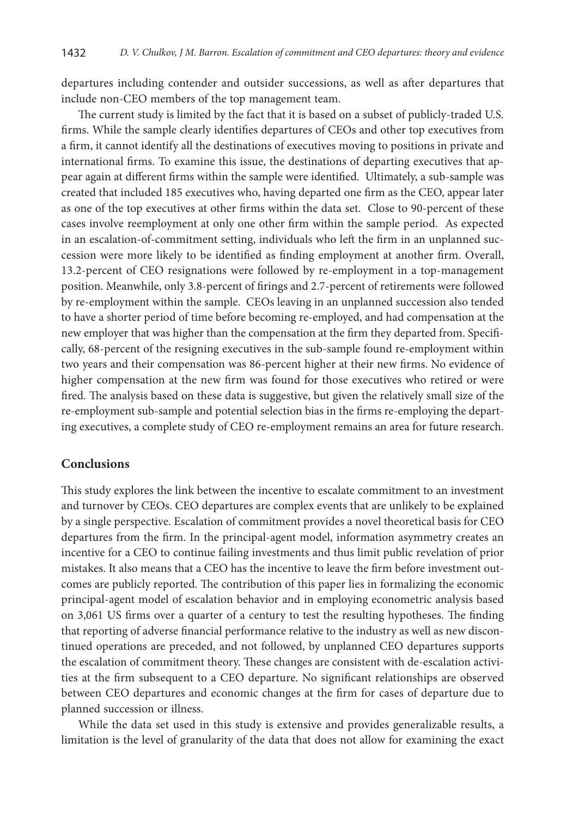departures including contender and outsider successions, as well as after departures that include non-CEO members of the top management team.

The current study is limited by the fact that it is based on a subset of publicly-traded U.S. firms. While the sample clearly identifies departures of CEOs and other top executives from a firm, it cannot identify all the destinations of executives moving to positions in private and international firms. To examine this issue, the destinations of departing executives that appear again at different firms within the sample were identified. Ultimately, a sub-sample was created that included 185 executives who, having departed one firm as the CEO, appear later as one of the top executives at other firms within the data set. Close to 90-percent of these cases involve reemployment at only one other firm within the sample period. As expected in an escalation-of-commitment setting, individuals who left the firm in an unplanned succession were more likely to be identified as finding employment at another firm. Overall, 13.2-percent of CEO resignations were followed by re-employment in a top-management position. Meanwhile, only 3.8-percent of firings and 2.7-percent of retirements were followed by re-employment within the sample. CEOs leaving in an unplanned succession also tended to have a shorter period of time before becoming re-employed, and had compensation at the new employer that was higher than the compensation at the firm they departed from. Specifically, 68-percent of the resigning executives in the sub-sample found re-employment within two years and their compensation was 86-percent higher at their new firms. No evidence of higher compensation at the new firm was found for those executives who retired or were fired. The analysis based on these data is suggestive, but given the relatively small size of the re-employment sub-sample and potential selection bias in the firms re-employing the departing executives, a complete study of CEO re-employment remains an area for future research.

# **Conclusions**

This study explores the link between the incentive to escalate commitment to an investment and turnover by CEOs. CEO departures are complex events that are unlikely to be explained by a single perspective. Escalation of commitment provides a novel theoretical basis for CEO departures from the firm. In the principal-agent model, information asymmetry creates an incentive for a CEO to continue failing investments and thus limit public revelation of prior mistakes. It also means that a CEO has the incentive to leave the firm before investment outcomes are publicly reported. The contribution of this paper lies in formalizing the economic principal-agent model of escalation behavior and in employing econometric analysis based on 3,061 US firms over a quarter of a century to test the resulting hypotheses. The finding that reporting of adverse financial performance relative to the industry as well as new discontinued operations are preceded, and not followed, by unplanned CEO departures supports the escalation of commitment theory. These changes are consistent with de-escalation activities at the firm subsequent to a CEO departure. No significant relationships are observed between CEO departures and economic changes at the firm for cases of departure due to planned succession or illness.

While the data set used in this study is extensive and provides generalizable results, a limitation is the level of granularity of the data that does not allow for examining the exact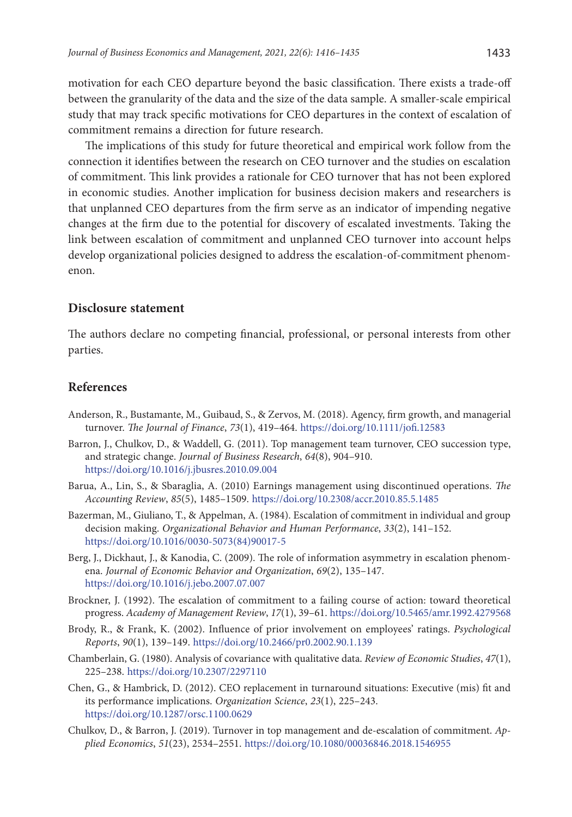motivation for each CEO departure beyond the basic classification. There exists a trade-off between the granularity of the data and the size of the data sample. A smaller-scale empirical study that may track specific motivations for CEO departures in the context of escalation of commitment remains a direction for future research.

The implications of this study for future theoretical and empirical work follow from the connection it identifies between the research on CEO turnover and the studies on escalation of commitment. This link provides a rationale for CEO turnover that has not been explored in economic studies. Another implication for business decision makers and researchers is that unplanned CEO departures from the firm serve as an indicator of impending negative changes at the firm due to the potential for discovery of escalated investments. Taking the link between escalation of commitment and unplanned CEO turnover into account helps develop organizational policies designed to address the escalation-of-commitment phenomenon.

### **Disclosure statement**

The authors declare no competing financial, professional, or personal interests from other parties.

### **References**

- Anderson, R., Bustamante, M., Guibaud, S., & Zervos, M. (2018). Agency, firm growth, and managerial turnover. *The Journal of Finance*, *73*(1), 419–464. <https://doi.org/10.1111/jofi.12583>
- Barron, J., Chulkov, D., & Waddell, G. (2011). Top management team turnover, CEO succession type, and strategic change. *Journal of Business Research*, *64*(8), 904–910. <https://doi.org/10.1016/j.jbusres.2010.09.004>
- Barua, A., Lin, S., & Sbaraglia, A. (2010) Earnings management using discontinued operations. *The Accounting Review*, *85*(5), 1485–1509. <https://doi.org/10.2308/accr.2010.85.5.1485>
- Bazerman, M., Giuliano, T., & Appelman, A. (1984). Escalation of commitment in individual and group decision making. *Organizational Behavior and Human Performance*, *33*(2), 141–152. [https://doi.org/10.1016/0030-5073\(84\)90017-5](https://doi.org/10.1016/0030-5073(84)90017-5)
- Berg, J., Dickhaut, J., & Kanodia, C. (2009). The role of information asymmetry in escalation phenomena. *Journal of Economic Behavior and Organization*, *69*(2), 135–147. <https://doi.org/10.1016/j.jebo.2007.07.007>
- Brockner, J. (1992). The escalation of commitment to a failing course of action: toward theoretical progress. *Academy of Management Review*, *17*(1), 39–61. <https://doi.org/10.5465/amr.1992.4279568>
- Brody, R., & Frank, K. (2002). Influence of prior involvement on employees' ratings. *Psychological Reports*, *90*(1), 139–149. <https://doi.org/10.2466/pr0.2002.90.1.139>
- Chamberlain, G. (1980). Analysis of covariance with qualitative data. *Review of Economic Studies*, *47*(1), 225–238. <https://doi.org/10.2307/2297110>
- Chen, G., & Hambrick, D. (2012). CEO replacement in turnaround situations: Executive (mis) fit and its performance implications. *Organization Science*, *23*(1), 225–243. <https://doi.org/10.1287/orsc.1100.0629>
- Chulkov, D., & Barron, J. (2019). Turnover in top management and de-escalation of commitment. *Applied Economics*, *51*(23), 2534–2551. <https://doi.org/10.1080/00036846.2018.1546955>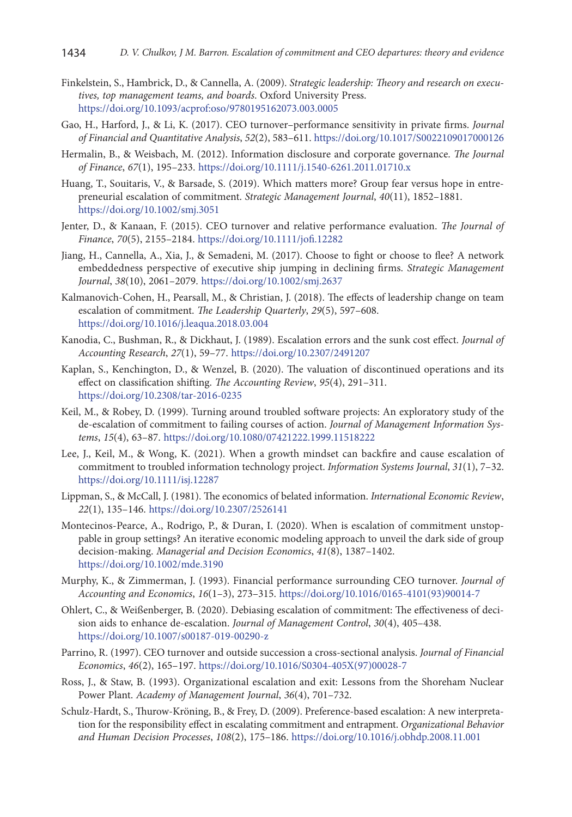- Finkelstein, S., Hambrick, D., & Cannella, A. (2009). *Strategic leadership: Theory and research on executives, top management teams, and boards*. Oxford University Press. <https://doi.org/10.1093/acprof:oso/9780195162073.003.0005>
- Gao, H., Harford, J., & Li, K. (2017). CEO turnover–performance sensitivity in private firms. *Journal of Financial and Quantitative Analysis*, *52*(2), 583–611.<https://doi.org/10.1017/S0022109017000126>
- Hermalin, B., & Weisbach, M. (2012). Information disclosure and corporate governance. *The Journal of Finance*, *67*(1), 195–233. <https://doi.org/10.1111/j.1540-6261.2011.01710.x>
- Huang, T., Souitaris, V., & Barsade, S. (2019). Which matters more? Group fear versus hope in entrepreneurial escalation of commitment. *Strategic Management Journal*, *40*(11), 1852–1881. <https://doi.org/10.1002/smj.3051>
- Jenter, D., & Kanaan, F. (2015). CEO turnover and relative performance evaluation. *The Journal of Finance*, *70*(5), 2155–2184. <https://doi.org/10.1111/jofi.12282>
- Jiang, H., Cannella, A., Xia, J., & Semadeni, M. (2017). Choose to fight or choose to flee? A network embeddedness perspective of executive ship jumping in declining firms. *Strategic Management Journal*, *38*(10), 2061–2079. <https://doi.org/10.1002/smj.2637>
- Kalmanovich-Cohen, H., Pearsall, M., & Christian, J. (2018). The effects of leadership change on team escalation of commitment. *The Leadership Quarterly*, *29*(5), 597–608. <https://doi.org/10.1016/j.leaqua.2018.03.004>
- Kanodia, C., Bushman, R., & Dickhaut, J. (1989). Escalation errors and the sunk cost effect. *Journal of Accounting Research*, *27*(1), 59–77.<https://doi.org/10.2307/2491207>
- Kaplan, S., Kenchington, D., & Wenzel, B. (2020). The valuation of discontinued operations and its effect on classification shifting. *The Accounting Review*, *95*(4), 291–311. <https://doi.org/10.2308/tar-2016-0235>
- Keil, M., & Robey, D. (1999). Turning around troubled software projects: An exploratory study of the de-escalation of commitment to failing courses of action. *Journal of Management Information Systems*, *15*(4), 63–87. <https://doi.org/10.1080/07421222.1999.11518222>
- Lee, J., Keil, M., & Wong, K. (2021). When a growth mindset can backfire and cause escalation of commitment to troubled information technology project. *Information Systems Journal*, *31*(1), 7–32. <https://doi.org/10.1111/isj.12287>
- Lippman, S., & McCall, J. (1981). The economics of belated information. *International Economic Review*, *22*(1), 135–146. <https://doi.org/10.2307/2526141>
- Montecinos‐Pearce, A., Rodrigo, P., & Duran, I. (2020). When is escalation of commitment unstoppable in group settings? An iterative economic modeling approach to unveil the dark side of group decision‐making. *Managerial and Decision Economics*, *41*(8), 1387–1402. <https://doi.org/10.1002/mde.3190>
- Murphy, K., & Zimmerman, J. (1993). Financial performance surrounding CEO turnover. *Journal of Accounting and Economics*, *16*(1–3), 273–315. [https://doi.org/10.1016/0165-4101\(93\)90014-7](https://doi.org/10.1016/0165-4101(93)90014-7)
- Ohlert, C., & Weißenberger, B. (2020). Debiasing escalation of commitment: The effectiveness of decision aids to enhance de-escalation. *Journal of Management Control*, *30*(4), 405–438. <https://doi.org/10.1007/s00187-019-00290-z>
- Parrino, R. (1997). CEO turnover and outside succession a cross-sectional analysis. *Journal of Financial Economics*, *46*(2), 165–197. [https://doi.org/10.1016/S0304-405X\(97\)00028-7](https://doi.org/10.1016/S0304-405X(97)00028-7)
- Ross, J., & Staw, B. (1993). Organizational escalation and exit: Lessons from the Shoreham Nuclear Power Plant. *Academy of Management Journal*, *36*(4), 701–732.
- Schulz-Hardt, S., Thurow-Kröning, B., & Frey, D. (2009). Preference-based escalation: A new interpretation for the responsibility effect in escalating commitment and entrapment. *Organizational Behavior and Human Decision Processes*, *108*(2), 175–186. <https://doi.org/10.1016/j.obhdp.2008.11.001>